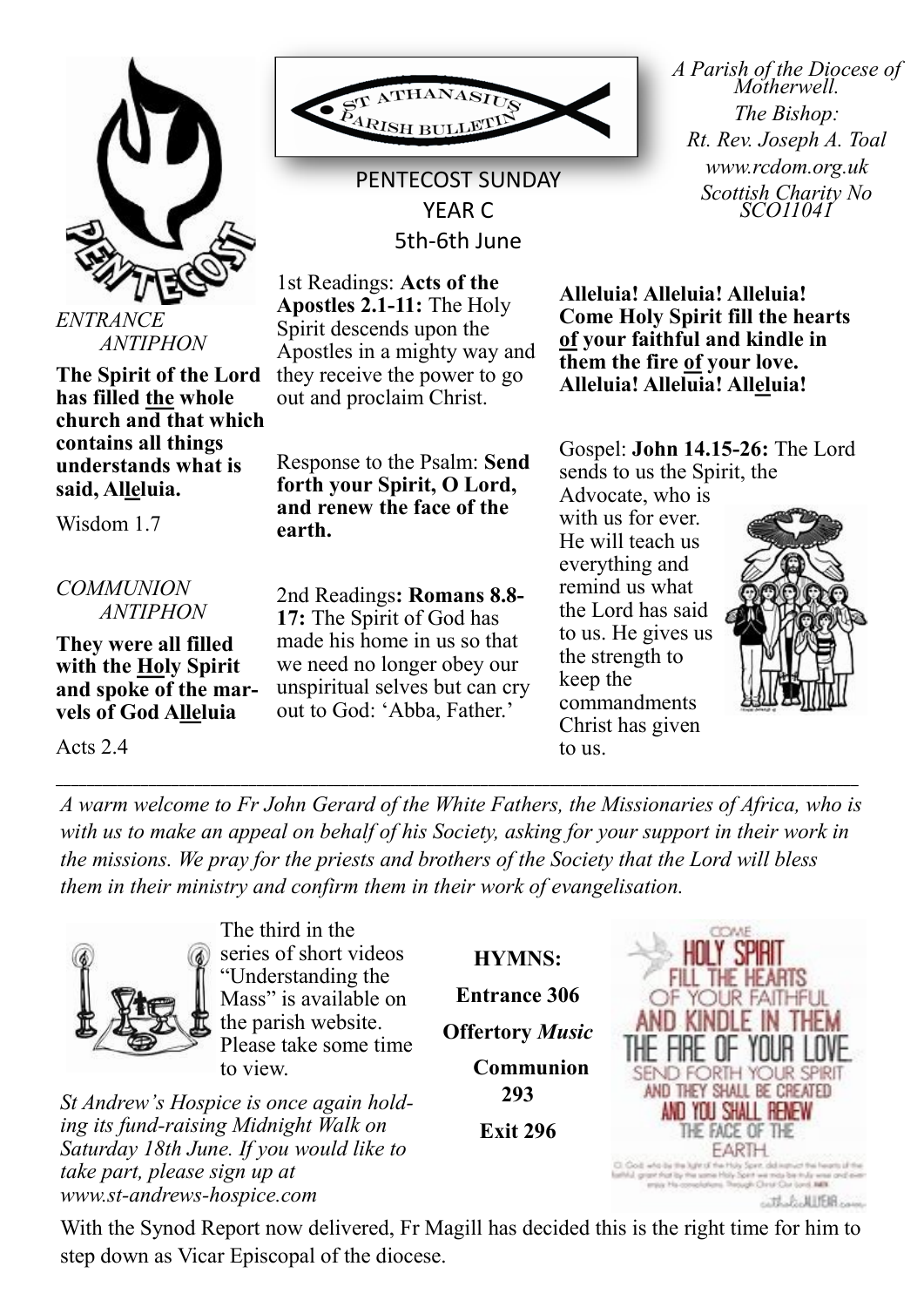

*ANTIPHON*

**The Spirit of the Lord has filled the whole church and that which contains all things understands what is said, Alleluia.**

Wisdom 1.7

*COMMUNION ANTIPHON*

**They were all filled with the Holy Spirit and spoke of the marvels of God Alleluia** 

Acts 2.4



PENTECOST SUNDAY YEAR C 5th-6th June

1st Readings: **Acts of the Apostles 2.1-11:** The Holy Spirit descends upon the Apostles in a mighty way and they receive the power to go out and proclaim Christ.

Response to the Psalm: **Send forth your Spirit, O Lord, and renew the face of the earth.**

2nd Readings**: Romans 8.8- 17:** The Spirit of God has made his home in us so that we need no longer obey our unspiritual selves but can cry out to God: 'Abba, Father.'

*A Parish of the Diocese of Motherwell. The Bishop: Rt. Rev. Joseph A. Toal www.rcdom.org.uk Scottish Charity No SCO11041*

**Alleluia! Alleluia! Alleluia! Come Holy Spirit fill the hearts of your faithful and kindle in them the fire of your love. Alleluia! Alleluia! Alleluia!** 

Gospel: **John 14.15-26:** The Lord sends to us the Spirit, the

Advocate, who is with us for ever. He will teach us everything and remind us what the Lord has said to us. He gives us the strength to keep the commandments Christ has given to us.



*A warm welcome to Fr John Gerard of the White Fathers, the Missionaries of Africa, who is*  with us to make an appeal on behalf of his Society, asking for your support in their work in *the missions. We pray for the priests and brothers of the Society that the Lord will bless them in their ministry and confirm them in their work of evangelisation.*

\_\_\_\_\_\_\_\_\_\_\_\_\_\_\_\_\_\_\_\_\_\_\_\_\_\_\_\_\_\_\_\_\_\_\_\_\_\_\_\_\_\_\_\_\_\_\_\_\_\_\_\_\_\_\_\_\_\_\_\_\_\_\_\_\_\_\_\_\_\_\_\_\_\_\_\_\_\_\_\_\_\_\_\_\_\_\_\_\_\_\_\_\_\_\_\_\_\_\_\_\_\_\_\_



The third in the series of short videos "Understanding the Mass" is available on the parish website. Please take some time to view.

*St Andrew's Hospice is once again holding its fund-raising Midnight Walk on Saturday 18th June. If you would like to take part, please sign up at www.st-andrews-hospice.com*

**HYMNS: Entrance 306 Offertory** *Music* **Communion** 

**293** 

**Exit 296**



With the Synod Report now delivered, Fr Magill has decided this is the right time for him to step down as Vicar Episcopal of the diocese.